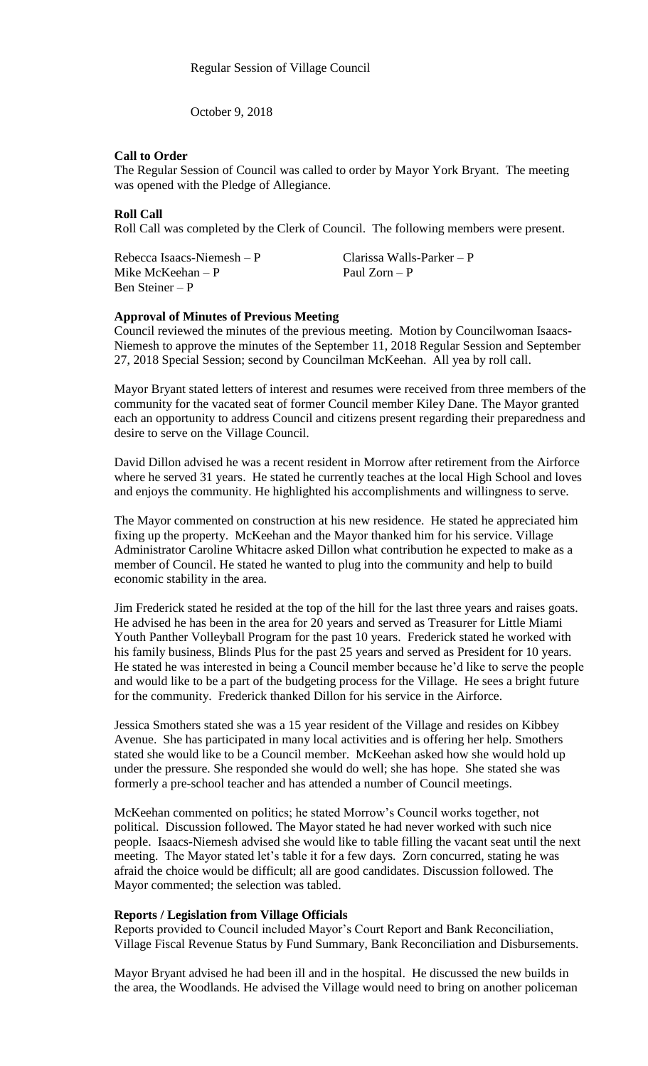October 9, 2018

# **Call to Order**

The Regular Session of Council was called to order by Mayor York Bryant. The meeting was opened with the Pledge of Allegiance.

# **Roll Call**

Roll Call was completed by the Clerk of Council. The following members were present.

Mike McKeehan – P Paul Zorn – P Ben Steiner – P

Rebecca Isaacs-Niemesh – P Clarissa Walls-Parker – P

# **Approval of Minutes of Previous Meeting**

Council reviewed the minutes of the previous meeting. Motion by Councilwoman Isaacs-Niemesh to approve the minutes of the September 11, 2018 Regular Session and September 27, 2018 Special Session; second by Councilman McKeehan. All yea by roll call.

Mayor Bryant stated letters of interest and resumes were received from three members of the community for the vacated seat of former Council member Kiley Dane. The Mayor granted each an opportunity to address Council and citizens present regarding their preparedness and desire to serve on the Village Council.

David Dillon advised he was a recent resident in Morrow after retirement from the Airforce where he served 31 years. He stated he currently teaches at the local High School and loves and enjoys the community. He highlighted his accomplishments and willingness to serve.

The Mayor commented on construction at his new residence. He stated he appreciated him fixing up the property. McKeehan and the Mayor thanked him for his service. Village Administrator Caroline Whitacre asked Dillon what contribution he expected to make as a member of Council. He stated he wanted to plug into the community and help to build economic stability in the area.

Jim Frederick stated he resided at the top of the hill for the last three years and raises goats. He advised he has been in the area for 20 years and served as Treasurer for Little Miami Youth Panther Volleyball Program for the past 10 years. Frederick stated he worked with his family business, Blinds Plus for the past 25 years and served as President for 10 years. He stated he was interested in being a Council member because he'd like to serve the people and would like to be a part of the budgeting process for the Village. He sees a bright future for the community. Frederick thanked Dillon for his service in the Airforce.

Jessica Smothers stated she was a 15 year resident of the Village and resides on Kibbey Avenue. She has participated in many local activities and is offering her help. Smothers stated she would like to be a Council member. McKeehan asked how she would hold up under the pressure. She responded she would do well; she has hope. She stated she was formerly a pre-school teacher and has attended a number of Council meetings.

McKeehan commented on politics; he stated Morrow's Council works together, not political. Discussion followed. The Mayor stated he had never worked with such nice people. Isaacs-Niemesh advised she would like to table filling the vacant seat until the next meeting. The Mayor stated let's table it for a few days. Zorn concurred, stating he was afraid the choice would be difficult; all are good candidates. Discussion followed. The Mayor commented; the selection was tabled.

# **Reports / Legislation from Village Officials**

Reports provided to Council included Mayor's Court Report and Bank Reconciliation, Village Fiscal Revenue Status by Fund Summary, Bank Reconciliation and Disbursements.

Mayor Bryant advised he had been ill and in the hospital. He discussed the new builds in the area, the Woodlands. He advised the Village would need to bring on another policeman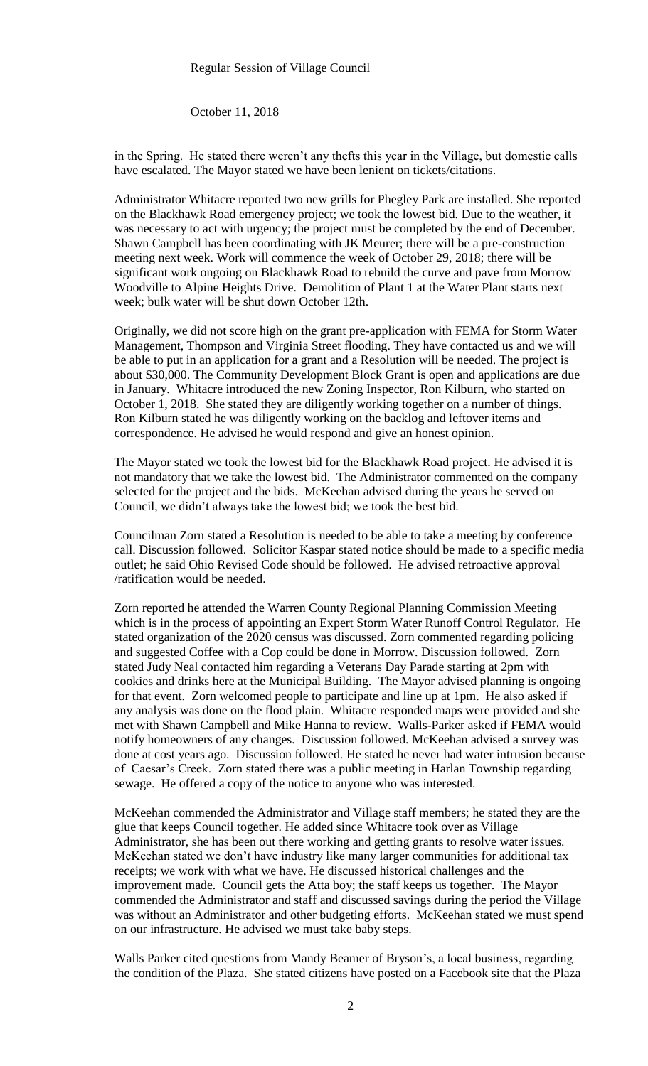### Regular Session of Village Council

October 11, 2018

in the Spring. He stated there weren't any thefts this year in the Village, but domestic calls have escalated. The Mayor stated we have been lenient on tickets/citations.

Administrator Whitacre reported two new grills for Phegley Park are installed. She reported on the Blackhawk Road emergency project; we took the lowest bid. Due to the weather, it was necessary to act with urgency; the project must be completed by the end of December. Shawn Campbell has been coordinating with JK Meurer; there will be a pre-construction meeting next week. Work will commence the week of October 29, 2018; there will be significant work ongoing on Blackhawk Road to rebuild the curve and pave from Morrow Woodville to Alpine Heights Drive. Demolition of Plant 1 at the Water Plant starts next week; bulk water will be shut down October 12th.

Originally, we did not score high on the grant pre-application with FEMA for Storm Water Management, Thompson and Virginia Street flooding. They have contacted us and we will be able to put in an application for a grant and a Resolution will be needed. The project is about \$30,000. The Community Development Block Grant is open and applications are due in January. Whitacre introduced the new Zoning Inspector, Ron Kilburn, who started on October 1, 2018. She stated they are diligently working together on a number of things. Ron Kilburn stated he was diligently working on the backlog and leftover items and correspondence. He advised he would respond and give an honest opinion.

The Mayor stated we took the lowest bid for the Blackhawk Road project. He advised it is not mandatory that we take the lowest bid. The Administrator commented on the company selected for the project and the bids. McKeehan advised during the years he served on Council, we didn't always take the lowest bid; we took the best bid.

Councilman Zorn stated a Resolution is needed to be able to take a meeting by conference call. Discussion followed. Solicitor Kaspar stated notice should be made to a specific media outlet; he said Ohio Revised Code should be followed. He advised retroactive approval /ratification would be needed.

Zorn reported he attended the Warren County Regional Planning Commission Meeting which is in the process of appointing an Expert Storm Water Runoff Control Regulator. He stated organization of the 2020 census was discussed. Zorn commented regarding policing and suggested Coffee with a Cop could be done in Morrow. Discussion followed. Zorn stated Judy Neal contacted him regarding a Veterans Day Parade starting at 2pm with cookies and drinks here at the Municipal Building. The Mayor advised planning is ongoing for that event. Zorn welcomed people to participate and line up at 1pm. He also asked if any analysis was done on the flood plain. Whitacre responded maps were provided and she met with Shawn Campbell and Mike Hanna to review. Walls-Parker asked if FEMA would notify homeowners of any changes. Discussion followed. McKeehan advised a survey was done at cost years ago. Discussion followed. He stated he never had water intrusion because of Caesar's Creek. Zorn stated there was a public meeting in Harlan Township regarding sewage. He offered a copy of the notice to anyone who was interested.

McKeehan commended the Administrator and Village staff members; he stated they are the glue that keeps Council together. He added since Whitacre took over as Village Administrator, she has been out there working and getting grants to resolve water issues. McKeehan stated we don't have industry like many larger communities for additional tax receipts; we work with what we have. He discussed historical challenges and the improvement made. Council gets the Atta boy; the staff keeps us together. The Mayor commended the Administrator and staff and discussed savings during the period the Village was without an Administrator and other budgeting efforts. McKeehan stated we must spend on our infrastructure. He advised we must take baby steps.

Walls Parker cited questions from Mandy Beamer of Bryson's, a local business, regarding the condition of the Plaza. She stated citizens have posted on a Facebook site that the Plaza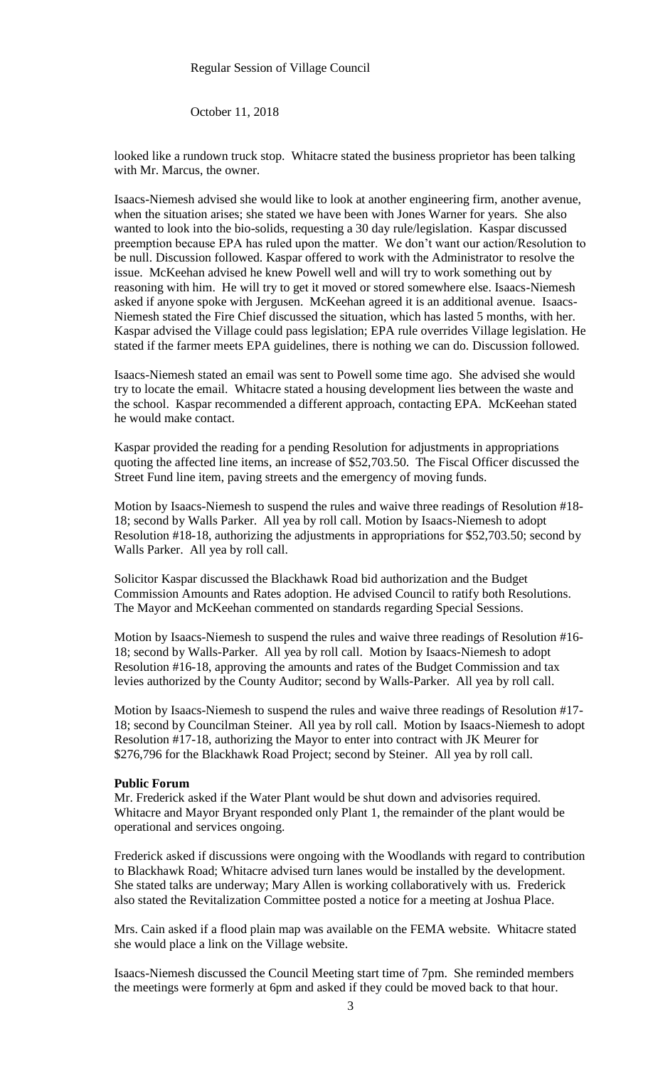#### Regular Session of Village Council

October 11, 2018

looked like a rundown truck stop. Whitacre stated the business proprietor has been talking with Mr. Marcus, the owner.

Isaacs-Niemesh advised she would like to look at another engineering firm, another avenue, when the situation arises; she stated we have been with Jones Warner for years. She also wanted to look into the bio-solids, requesting a 30 day rule/legislation. Kaspar discussed preemption because EPA has ruled upon the matter. We don't want our action/Resolution to be null. Discussion followed. Kaspar offered to work with the Administrator to resolve the issue. McKeehan advised he knew Powell well and will try to work something out by reasoning with him. He will try to get it moved or stored somewhere else. Isaacs-Niemesh asked if anyone spoke with Jergusen. McKeehan agreed it is an additional avenue. Isaacs-Niemesh stated the Fire Chief discussed the situation, which has lasted 5 months, with her. Kaspar advised the Village could pass legislation; EPA rule overrides Village legislation. He stated if the farmer meets EPA guidelines, there is nothing we can do. Discussion followed.

Isaacs-Niemesh stated an email was sent to Powell some time ago. She advised she would try to locate the email. Whitacre stated a housing development lies between the waste and the school. Kaspar recommended a different approach, contacting EPA. McKeehan stated he would make contact.

Kaspar provided the reading for a pending Resolution for adjustments in appropriations quoting the affected line items, an increase of \$52,703.50. The Fiscal Officer discussed the Street Fund line item, paving streets and the emergency of moving funds.

Motion by Isaacs-Niemesh to suspend the rules and waive three readings of Resolution #18- 18; second by Walls Parker. All yea by roll call. Motion by Isaacs-Niemesh to adopt Resolution #18-18, authorizing the adjustments in appropriations for \$52,703.50; second by Walls Parker. All yea by roll call.

Solicitor Kaspar discussed the Blackhawk Road bid authorization and the Budget Commission Amounts and Rates adoption. He advised Council to ratify both Resolutions. The Mayor and McKeehan commented on standards regarding Special Sessions.

Motion by Isaacs-Niemesh to suspend the rules and waive three readings of Resolution #16- 18; second by Walls-Parker. All yea by roll call. Motion by Isaacs-Niemesh to adopt Resolution #16-18, approving the amounts and rates of the Budget Commission and tax levies authorized by the County Auditor; second by Walls-Parker. All yea by roll call.

Motion by Isaacs-Niemesh to suspend the rules and waive three readings of Resolution #17- 18; second by Councilman Steiner. All yea by roll call. Motion by Isaacs-Niemesh to adopt Resolution #17-18, authorizing the Mayor to enter into contract with JK Meurer for \$276,796 for the Blackhawk Road Project; second by Steiner. All yea by roll call.

# **Public Forum**

Mr. Frederick asked if the Water Plant would be shut down and advisories required. Whitacre and Mayor Bryant responded only Plant 1, the remainder of the plant would be operational and services ongoing.

Frederick asked if discussions were ongoing with the Woodlands with regard to contribution to Blackhawk Road; Whitacre advised turn lanes would be installed by the development. She stated talks are underway; Mary Allen is working collaboratively with us. Frederick also stated the Revitalization Committee posted a notice for a meeting at Joshua Place.

Mrs. Cain asked if a flood plain map was available on the FEMA website. Whitacre stated she would place a link on the Village website.

Isaacs-Niemesh discussed the Council Meeting start time of 7pm. She reminded members the meetings were formerly at 6pm and asked if they could be moved back to that hour.